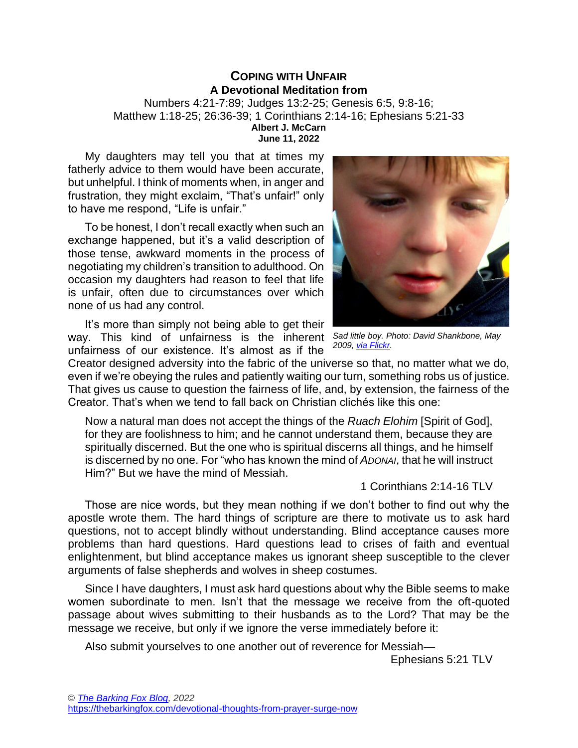## **COPING WITH UNFAIR A Devotional Meditation from**  Numbers 4:21-7:89; Judges 13:2-25; Genesis 6:5, 9:8-16; Matthew 1:18-25; 26:36-39; 1 Corinthians 2:14-16; Ephesians 5:21-33 **Albert J. McCarn June 11, 2022**

My daughters may tell you that at times my fatherly advice to them would have been accurate, but unhelpful. I think of moments when, in anger and frustration, they might exclaim, "That's unfair!" only to have me respond, "Life is unfair."

To be honest, I don't recall exactly when such an exchange happened, but it's a valid description of those tense, awkward moments in the process of negotiating my children's transition to adulthood. On occasion my daughters had reason to feel that life is unfair, often due to circumstances over which none of us had any control.

It's more than simply not being able to get their way. This kind of unfairness is the inherent *Sad little boy. Photo: David Shankbone, May*  unfairness of our existence. It's almost as if the



*2009[, via Flickr.](https://flickr.com/photos/shankbone/3319313469/in/photostream/)*

Creator designed adversity into the fabric of the universe so that, no matter what we do, even if we're obeying the rules and patiently waiting our turn, something robs us of justice. That gives us cause to question the fairness of life, and, by extension, the fairness of the Creator. That's when we tend to fall back on Christian clichés like this one:

Now a natural man does not accept the things of the *Ruach Elohim* [Spirit of God], for they are foolishness to him; and he cannot understand them, because they are spiritually discerned. But the one who is spiritual discerns all things, and he himself is discerned by no one. For "who has known the mind of *ADONAI*, that he will instruct Him?" But we have the mind of Messiah.

1 Corinthians 2:14-16 TLV

Those are nice words, but they mean nothing if we don't bother to find out why the apostle wrote them. The hard things of scripture are there to motivate us to ask hard questions, not to accept blindly without understanding. Blind acceptance causes more problems than hard questions. Hard questions lead to crises of faith and eventual enlightenment, but blind acceptance makes us ignorant sheep susceptible to the clever arguments of false shepherds and wolves in sheep costumes.

Since I have daughters, I must ask hard questions about why the Bible seems to make women subordinate to men. Isn't that the message we receive from the oft-quoted passage about wives submitting to their husbands as to the Lord? That may be the message we receive, but only if we ignore the verse immediately before it:

Also submit yourselves to one another out of reverence for Messiah—

Ephesians 5:21 TLV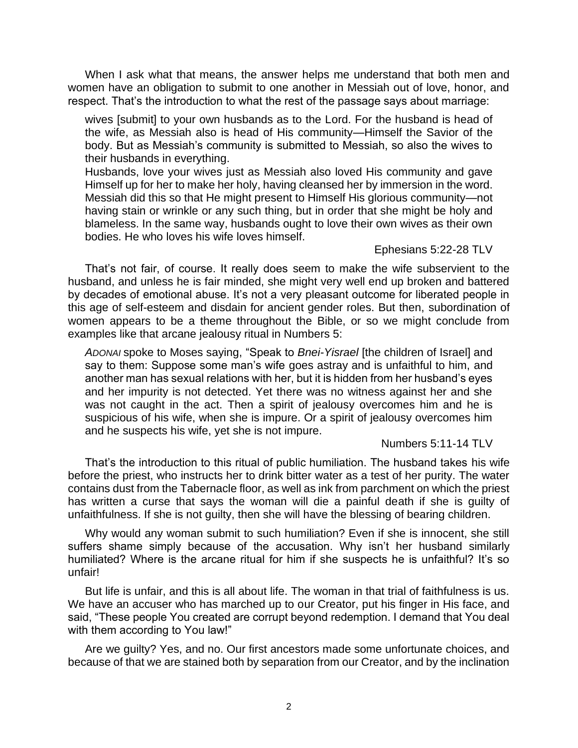When I ask what that means, the answer helps me understand that both men and women have an obligation to submit to one another in Messiah out of love, honor, and respect. That's the introduction to what the rest of the passage says about marriage:

wives [submit] to your own husbands as to the Lord. For the husband is head of the wife, as Messiah also is head of His community—Himself the Savior of the body. But as Messiah's community is submitted to Messiah, so also the wives to their husbands in everything.

Husbands, love your wives just as Messiah also loved His community and gave Himself up for her to make her holy, having cleansed her by immersion in the word. Messiah did this so that He might present to Himself His glorious community—not having stain or wrinkle or any such thing, but in order that she might be holy and blameless. In the same way, husbands ought to love their own wives as their own bodies. He who loves his wife loves himself.

## Ephesians 5:22-28 TLV

That's not fair, of course. It really does seem to make the wife subservient to the husband, and unless he is fair minded, she might very well end up broken and battered by decades of emotional abuse. It's not a very pleasant outcome for liberated people in this age of self-esteem and disdain for ancient gender roles. But then, subordination of women appears to be a theme throughout the Bible, or so we might conclude from examples like that arcane jealousy ritual in Numbers 5:

*ADONAI* spoke to Moses saying, "Speak to *Bnei-Yisrael* [the children of Israel] and say to them: Suppose some man's wife goes astray and is unfaithful to him, and another man has sexual relations with her, but it is hidden from her husband's eyes and her impurity is not detected. Yet there was no witness against her and she was not caught in the act. Then a spirit of jealousy overcomes him and he is suspicious of his wife, when she is impure. Or a spirit of jealousy overcomes him and he suspects his wife, yet she is not impure.

## Numbers 5:11-14 TLV

That's the introduction to this ritual of public humiliation. The husband takes his wife before the priest, who instructs her to drink bitter water as a test of her purity. The water contains dust from the Tabernacle floor, as well as ink from parchment on which the priest has written a curse that says the woman will die a painful death if she is guilty of unfaithfulness. If she is not guilty, then she will have the blessing of bearing children.

Why would any woman submit to such humiliation? Even if she is innocent, she still suffers shame simply because of the accusation. Why isn't her husband similarly humiliated? Where is the arcane ritual for him if she suspects he is unfaithful? It's so unfair!

But life is unfair, and this is all about life. The woman in that trial of faithfulness is us. We have an accuser who has marched up to our Creator, put his finger in His face, and said, "These people You created are corrupt beyond redemption. I demand that You deal with them according to You law!"

Are we guilty? Yes, and no. Our first ancestors made some unfortunate choices, and because of that we are stained both by separation from our Creator, and by the inclination